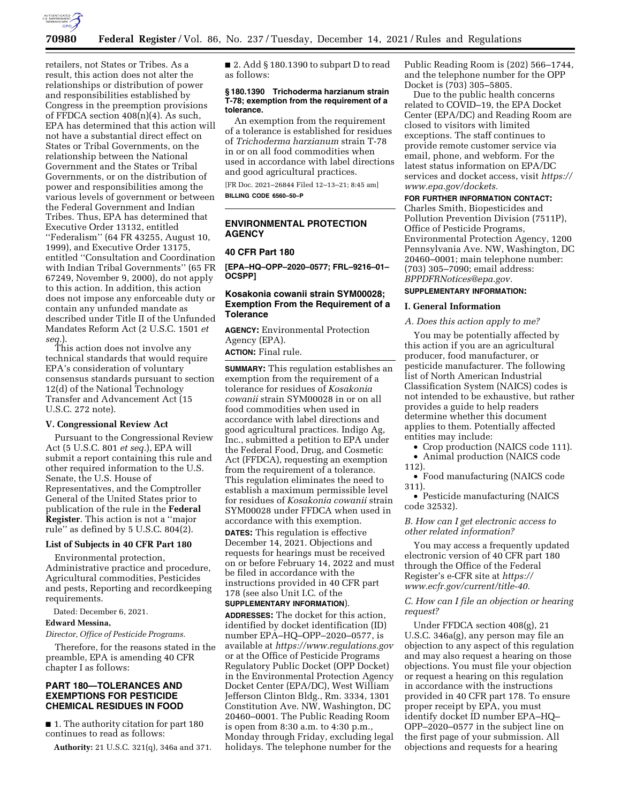

retailers, not States or Tribes. As a result, this action does not alter the relationships or distribution of power and responsibilities established by Congress in the preemption provisions of FFDCA section 408(n)(4). As such, EPA has determined that this action will not have a substantial direct effect on States or Tribal Governments, on the relationship between the National Government and the States or Tribal Governments, or on the distribution of power and responsibilities among the various levels of government or between the Federal Government and Indian Tribes. Thus, EPA has determined that Executive Order 13132, entitled ''Federalism'' (64 FR 43255, August 10, 1999), and Executive Order 13175, entitled ''Consultation and Coordination with Indian Tribal Governments'' (65 FR 67249, November 9, 2000), do not apply to this action. In addition, this action does not impose any enforceable duty or contain any unfunded mandate as described under Title II of the Unfunded Mandates Reform Act (2 U.S.C. 1501 *et seq.*).

This action does not involve any technical standards that would require EPA's consideration of voluntary consensus standards pursuant to section 12(d) of the National Technology Transfer and Advancement Act (15 U.S.C. 272 note).

#### **V. Congressional Review Act**

Pursuant to the Congressional Review Act (5 U.S.C. 801 *et seq.*), EPA will submit a report containing this rule and other required information to the U.S. Senate, the U.S. House of Representatives, and the Comptroller General of the United States prior to publication of the rule in the **Federal Register**. This action is not a ''major rule'' as defined by 5 U.S.C. 804(2).

# **List of Subjects in 40 CFR Part 180**

Environmental protection, Administrative practice and procedure, Agricultural commodities, Pesticides and pests, Reporting and recordkeeping requirements.

Dated: December 6, 2021.

#### **Edward Messina,**

*Director, Office of Pesticide Programs.* 

Therefore, for the reasons stated in the preamble, EPA is amending 40 CFR chapter I as follows:

# **PART 180—TOLERANCES AND EXEMPTIONS FOR PESTICIDE CHEMICAL RESIDUES IN FOOD**

■ 1. The authority citation for part 180 continues to read as follows:

**Authority:** 21 U.S.C. 321(q), 346a and 371.

■ 2. Add § 180.1390 to subpart D to read as follows:

### **§ 180.1390 Trichoderma harzianum strain T-78; exemption from the requirement of a tolerance.**

An exemption from the requirement of a tolerance is established for residues of *Trichoderma harzianum* strain T-78 in or on all food commodities when used in accordance with label directions and good agricultural practices.

[FR Doc. 2021–26844 Filed 12–13–21; 8:45 am] **BILLING CODE 6560–50–P** 

# **ENVIRONMENTAL PROTECTION AGENCY**

### **40 CFR Part 180**

**[EPA–HQ–OPP–2020–0577; FRL–9216–01– OCSPP]** 

# **Kosakonia cowanii strain SYM00028; Exemption From the Requirement of a Tolerance**

**AGENCY:** Environmental Protection Agency (EPA). **ACTION:** Final rule.

**SUMMARY:** This regulation establishes an exemption from the requirement of a tolerance for residues of *Kosakonia cowanii* strain SYM00028 in or on all food commodities when used in accordance with label directions and good agricultural practices. Indigo Ag, Inc., submitted a petition to EPA under the Federal Food, Drug, and Cosmetic Act (FFDCA), requesting an exemption from the requirement of a tolerance. This regulation eliminates the need to establish a maximum permissible level for residues of *Kosakonia cowanii* strain SYM00028 under FFDCA when used in accordance with this exemption.

**DATES:** This regulation is effective December 14, 2021. Objections and requests for hearings must be received on or before February 14, 2022 and must be filed in accordance with the instructions provided in 40 CFR part 178 (see also Unit I.C. of the **SUPPLEMENTARY INFORMATION**).

**ADDRESSES:** The docket for this action, identified by docket identification (ID) number EPA–HQ–OPP–2020–0577, is available at *<https://www.regulations.gov>* or at the Office of Pesticide Programs Regulatory Public Docket (OPP Docket) in the Environmental Protection Agency Docket Center (EPA/DC), West William Jefferson Clinton Bldg., Rm. 3334, 1301 Constitution Ave. NW, Washington, DC 20460–0001. The Public Reading Room is open from 8:30 a.m. to 4:30 p.m., Monday through Friday, excluding legal holidays. The telephone number for the

Public Reading Room is (202) 566–1744, and the telephone number for the OPP Docket is (703) 305–5805.

Due to the public health concerns related to COVID–19, the EPA Docket Center (EPA/DC) and Reading Room are closed to visitors with limited exceptions. The staff continues to provide remote customer service via email, phone, and webform. For the latest status information on EPA/DC services and docket access, visit *[https://](https://www.epa.gov/dockets) [www.epa.gov/dockets.](https://www.epa.gov/dockets)* 

### **FOR FURTHER INFORMATION CONTACT:**

Charles Smith, Biopesticides and Pollution Prevention Division (7511P), Office of Pesticide Programs, Environmental Protection Agency, 1200 Pennsylvania Ave. NW, Washington, DC 20460–0001; main telephone number: (703) 305–7090; email address: *[BPPDFRNotices@epa.gov.](mailto:BPPDFRNotices@epa.gov)* 

# **SUPPLEMENTARY INFORMATION:**

# **I. General Information**

#### *A. Does this action apply to me?*

You may be potentially affected by this action if you are an agricultural producer, food manufacturer, or pesticide manufacturer. The following list of North American Industrial Classification System (NAICS) codes is not intended to be exhaustive, but rather provides a guide to help readers determine whether this document applies to them. Potentially affected entities may include:

- Crop production (NAICS code 111).
- Animal production (NAICS code
- 112).

• Food manufacturing (NAICS code 311).

• Pesticide manufacturing (NAICS code 32532).

#### *B. How can I get electronic access to other related information?*

You may access a frequently updated electronic version of 40 CFR part 180 through the Office of the Federal Register's e-CFR site at *[https://](https://www.ecfr.gov/current/title-40) [www.ecfr.gov/current/title-40.](https://www.ecfr.gov/current/title-40)* 

## *C. How can I file an objection or hearing request?*

Under FFDCA section 408(g), 21 U.S.C. 346a(g), any person may file an objection to any aspect of this regulation and may also request a hearing on those objections. You must file your objection or request a hearing on this regulation in accordance with the instructions provided in 40 CFR part 178. To ensure proper receipt by EPA, you must identify docket ID number EPA–HQ– OPP–2020–0577 in the subject line on the first page of your submission. All objections and requests for a hearing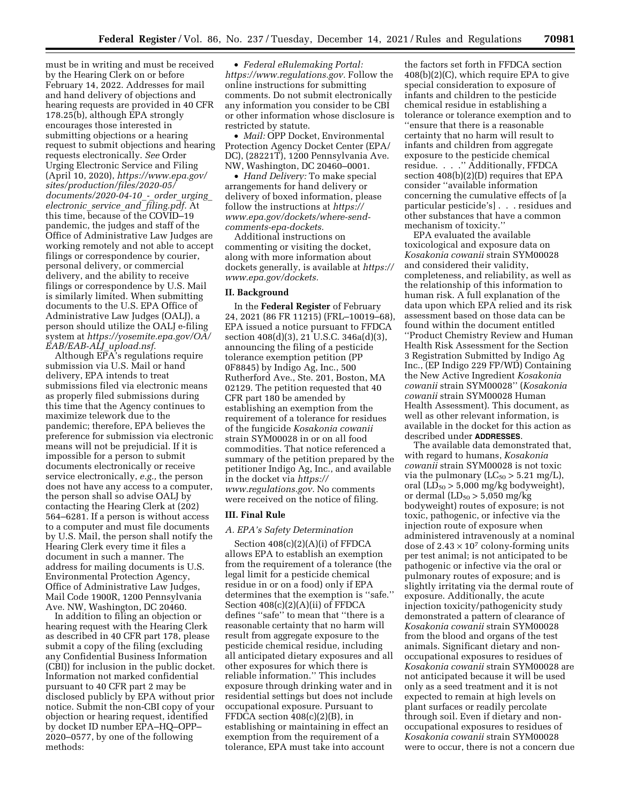must be in writing and must be received by the Hearing Clerk on or before February 14, 2022. Addresses for mail and hand delivery of objections and hearing requests are provided in 40 CFR 178.25(b), although EPA strongly encourages those interested in submitting objections or a hearing request to submit objections and hearing requests electronically. *See* Order Urging Electronic Service and Filing (April 10, 2020), *[https://www.epa.gov/](https://www.epa.gov/sites/production/files/2020-05/documents/2020-04-10_-_order_urging_electronic_service_and_filing.pdf) [sites/production/files/2020-05/](https://www.epa.gov/sites/production/files/2020-05/documents/2020-04-10_-_order_urging_electronic_service_and_filing.pdf) [documents/2020-04-10](https://www.epa.gov/sites/production/files/2020-05/documents/2020-04-10_-_order_urging_electronic_service_and_filing.pdf)*\_*-*\_*order*\_*urging*\_ *[electronic](https://www.epa.gov/sites/production/files/2020-05/documents/2020-04-10_-_order_urging_electronic_service_and_filing.pdf)*\_*service*\_*and*\_*filing.pdf.* At this time, because of the COVID–19 pandemic, the judges and staff of the Office of Administrative Law Judges are working remotely and not able to accept filings or correspondence by courier, personal delivery, or commercial delivery, and the ability to receive filings or correspondence by U.S. Mail is similarly limited. When submitting documents to the U.S. EPA Office of Administrative Law Judges (OALJ), a person should utilize the OALJ e-filing system at *[https://yosemite.epa.gov/OA/](https://yosemite.epa.gov/OA/EAB/EAB-ALJ_upload.nsf)  [EAB/EAB-ALJ](https://yosemite.epa.gov/OA/EAB/EAB-ALJ_upload.nsf)*\_*upload.nsf.* 

Although  $E\overline{P}A$ 's regulations require submission via U.S. Mail or hand delivery, EPA intends to treat submissions filed via electronic means as properly filed submissions during this time that the Agency continues to maximize telework due to the pandemic; therefore, EPA believes the preference for submission via electronic means will not be prejudicial. If it is impossible for a person to submit documents electronically or receive service electronically, *e.g.,* the person does not have any access to a computer, the person shall so advise OALJ by contacting the Hearing Clerk at (202) 564–6281. If a person is without access to a computer and must file documents by U.S. Mail, the person shall notify the Hearing Clerk every time it files a document in such a manner. The address for mailing documents is U.S. Environmental Protection Agency, Office of Administrative Law Judges, Mail Code 1900R, 1200 Pennsylvania Ave. NW, Washington, DC 20460.

In addition to filing an objection or hearing request with the Hearing Clerk as described in 40 CFR part 178, please submit a copy of the filing (excluding any Confidential Business Information (CBI)) for inclusion in the public docket. Information not marked confidential pursuant to 40 CFR part 2 may be disclosed publicly by EPA without prior notice. Submit the non-CBI copy of your objection or hearing request, identified by docket ID number EPA–HQ–OPP– 2020–0577, by one of the following methods:

• *Federal eRulemaking Portal: [https://www.regulations.gov.](https://www.regulations.gov)* Follow the online instructions for submitting comments. Do not submit electronically any information you consider to be CBI or other information whose disclosure is restricted by statute.

• *Mail:* OPP Docket, Environmental Protection Agency Docket Center (EPA/ DC), (28221T), 1200 Pennsylvania Ave. NW, Washington, DC 20460–0001.

• *Hand Delivery:* To make special arrangements for hand delivery or delivery of boxed information, please follow the instructions at *[https://](https://www.epa.gov/dockets/where-send-comments-epa-dockets) [www.epa.gov/dockets/where-send](https://www.epa.gov/dockets/where-send-comments-epa-dockets)[comments-epa-dockets.](https://www.epa.gov/dockets/where-send-comments-epa-dockets)* 

Additional instructions on commenting or visiting the docket, along with more information about dockets generally, is available at *[https://](https://www.epa.gov/dockets) [www.epa.gov/dockets.](https://www.epa.gov/dockets)* 

#### **II. Background**

In the **Federal Register** of February 24, 2021 (86 FR 11215) (FRL–10019–68), EPA issued a notice pursuant to FFDCA section 408(d)(3), 21 U.S.C. 346a(d)(3), announcing the filing of a pesticide tolerance exemption petition (PP 0F8845) by Indigo Ag, Inc., 500 Rutherford Ave., Ste. 201, Boston, MA 02129. The petition requested that 40 CFR part 180 be amended by establishing an exemption from the requirement of a tolerance for residues of the fungicide *Kosakonia cowanii*  strain SYM00028 in or on all food commodities. That notice referenced a summary of the petition prepared by the petitioner Indigo Ag, Inc., and available in the docket via *[https://](https://www.regulations.gov) [www.regulations.gov.](https://www.regulations.gov)* No comments were received on the notice of filing.

### **III. Final Rule**

#### *A. EPA's Safety Determination*

Section 408(c)(2)(A)(i) of FFDCA allows EPA to establish an exemption from the requirement of a tolerance (the legal limit for a pesticide chemical residue in or on a food) only if EPA determines that the exemption is ''safe.'' Section 408(c)(2)(A)(ii) of FFDCA defines ''safe'' to mean that ''there is a reasonable certainty that no harm will result from aggregate exposure to the pesticide chemical residue, including all anticipated dietary exposures and all other exposures for which there is reliable information.'' This includes exposure through drinking water and in residential settings but does not include occupational exposure. Pursuant to FFDCA section  $408(c)(2)(B)$ , in establishing or maintaining in effect an exemption from the requirement of a tolerance, EPA must take into account

the factors set forth in FFDCA section 408(b)(2)(C), which require EPA to give special consideration to exposure of infants and children to the pesticide chemical residue in establishing a tolerance or tolerance exemption and to ''ensure that there is a reasonable certainty that no harm will result to infants and children from aggregate exposure to the pesticide chemical residue. . . .'' Additionally, FFDCA section 408(b)(2)(D) requires that EPA consider ''available information concerning the cumulative effects of [a particular pesticide's] . . . residues and other substances that have a common mechanism of toxicity.''

EPA evaluated the available toxicological and exposure data on *Kosakonia cowanii* strain SYM00028 and considered their validity, completeness, and reliability, as well as the relationship of this information to human risk. A full explanation of the data upon which EPA relied and its risk assessment based on those data can be found within the document entitled ''Product Chemistry Review and Human Health Risk Assessment for the Section 3 Registration Submitted by Indigo Ag Inc., (EP Indigo 229 FP/WD) Containing the New Active Ingredient *Kosakonia cowanii* strain SYM00028'' (*Kosakonia cowanii* strain SYM00028 Human Health Assessment). This document, as well as other relevant information, is available in the docket for this action as described under **ADDRESSES**.

The available data demonstrated that, with regard to humans, *Kosakonia cowanii* strain SYM00028 is not toxic via the pulmonary ( $LC_{50} > 5.21$  mg/L), oral  $(L\bar{D}_{50} > 5,000 \text{ mg/kg}$  bodyweight), or dermal  $(LD_{50} > 5,050$  mg/kg bodyweight) routes of exposure; is not toxic, pathogenic, or infective via the injection route of exposure when administered intravenously at a nominal dose of  $2.43 \times 10^7$  colony-forming units per test animal; is not anticipated to be pathogenic or infective via the oral or pulmonary routes of exposure; and is slightly irritating via the dermal route of exposure. Additionally, the acute injection toxicity/pathogenicity study demonstrated a pattern of clearance of *Kosakonia cowanii* strain SYM00028 from the blood and organs of the test animals. Significant dietary and nonoccupational exposures to residues of *Kosakonia cowanii* strain SYM00028 are not anticipated because it will be used only as a seed treatment and it is not expected to remain at high levels on plant surfaces or readily percolate through soil. Even if dietary and nonoccupational exposures to residues of *Kosakonia cowanii* strain SYM00028 were to occur, there is not a concern due